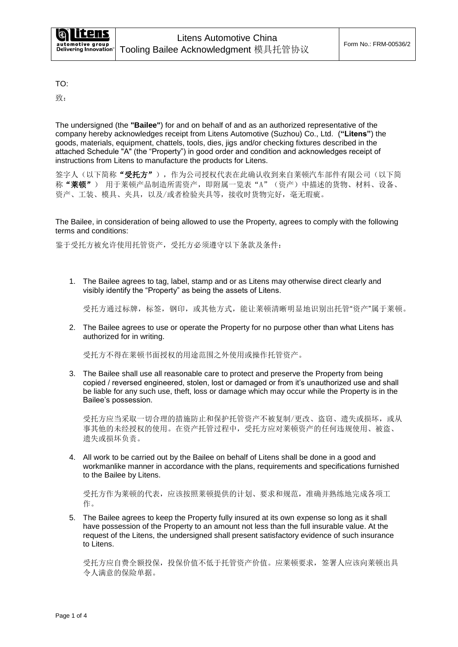TO:

致:

The undersigned (the **"Bailee"**) for and on behalf of and as an authorized representative of the company hereby acknowledges receipt from Litens Automotive (Suzhou) Co., Ltd. (**"Litens"**) the goods, materials, equipment, chattels, tools, dies, jigs and/or checking fixtures described in the attached Schedule "A" (the "Property") in good order and condition and acknowledges receipt of instructions from Litens to manufacture the products for Litens.

签字人(以下简称"受托方"),作为公司授权代表在此确认收到来自莱顿汽车部件有限公司(以下简 称"莱顿") 用于莱顿产品制造所需资产,即附属一览表"A"(资产)中描述的货物、材料、设备、 资产、工装、模具、夹具,以及/或者检验夹具等,接收时货物完好,毫无瑕疵。

The Bailee, in consideration of being allowed to use the Property, agrees to comply with the following terms and conditions:

鉴于受托方被允许使用托管资产,受托方必须遵守以下条款及条件:

1. The Bailee agrees to tag, label, stamp and or as Litens may otherwise direct clearly and visibly identify the "Property" as being the assets of Litens.

受托方通过标牌,标签,钢印,或其他方式,能让莱顿清晰明显地识别出托管"资产"属于莱顿。

2. The Bailee agrees to use or operate the Property for no purpose other than what Litens has authorized for in writing.

受托方不得在莱顿书面授权的用途范围之外使用或操作托管资产。

3. The Bailee shall use all reasonable care to protect and preserve the Property from being copied / reversed engineered, stolen, lost or damaged or from it's unauthorized use and shall be liable for any such use, theft, loss or damage which may occur while the Property is in the Bailee's possession.

受托方应当采取一切合理的措施防止和保护托管资产不被复制/更改、盗窃、遗失或损坏,或从 事其他的未经授权的使用。在资产托管过程中,受托方应对莱顿资产的任何违规使用、被盗、 遗失或损坏负责。

4. All work to be carried out by the Bailee on behalf of Litens shall be done in a good and workmanlike manner in accordance with the plans, requirements and specifications furnished to the Bailee by Litens.

受托方作为莱顿的代表,应该按照莱顿提供的计划、要求和规范,准确并熟练地完成各项工 作。

5. The Bailee agrees to keep the Property fully insured at its own expense so long as it shall have possession of the Property to an amount not less than the full insurable value. At the request of the Litens, the undersigned shall present satisfactory evidence of such insurance to Litens

受托方应自费全额投保,投保价值不低于托管资产价值。应莱顿要求,签署人应该向莱顿出具 令人满意的保险单据。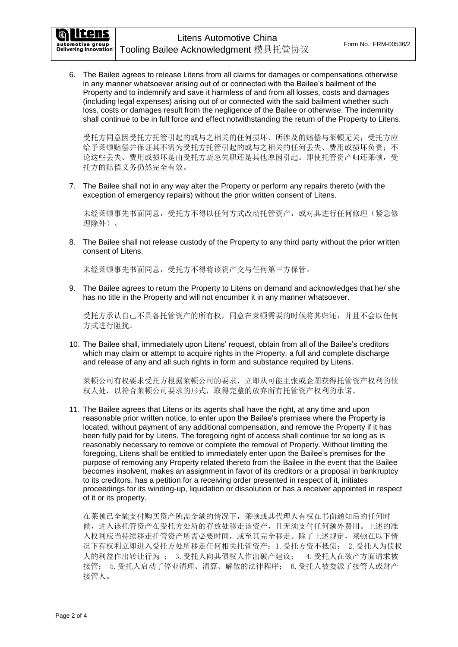:ens

automotive group<br>Delivering Innovation

6. The Bailee agrees to release Litens from all claims for damages or compensations otherwise in any manner whatsoever arising out of or connected with the Bailee's bailment of the Property and to indemnify and save it harmless of and from all losses, costs and damages (including legal expenses) arising out of or connected with the said bailment whether such loss, costs or damages result from the negligence of the Bailee or otherwise. The indemnity shall continue to be in full force and effect notwithstanding the return of the Property to Litens.

受托方同意因受托方托管引起的或与之相关的任何损坏、所涉及的赔偿与莱顿无关;受托方应 给予莱顿赔偿并保证其不需为受托方托管引起的或与之相关的任何丢失、费用或损坏负责;不 论这些丢失、费用或损坏是由受托方疏忽失职还是其他原因引起。即使托管资产归还莱顿,受 托方的赔偿义务仍然完全有效。

7. The Bailee shall not in any way alter the Property or perform any repairs thereto (with the exception of emergency repairs) without the prior written consent of Litens.

未经莱顿事先书面同意,受托方不得以任何方式改动托管资产,或对其进行任何修理(紧急修 理除外)。

8. The Bailee shall not release custody of the Property to any third party without the prior written consent of Litens.

未经莱顿事先书面同意,受托方不得将该资产交与任何第三方保管。

9. The Bailee agrees to return the Property to Litens on demand and acknowledges that he/ she has no title in the Property and will not encumber it in any manner whatsoever.

受托方承认自己不具备托管资产的所有权,同意在莱顿需要的时候将其归还;并且不会以任何 方式进行阻扰。

10. The Bailee shall, immediately upon Litens' request, obtain from all of the Bailee's creditors which may claim or attempt to acquire rights in the Property, a full and complete discharge and release of any and all such rights in form and substance required by Litens.

莱顿公司有权要求受托方根据莱顿公司的要求,立即从可能主张或企图获得托管资产权利的债 权人处,以符合莱顿公司要求的形式,取得完整的放弃所有托管资产权利的承诺。

11. The Bailee agrees that Litens or its agents shall have the right, at any time and upon reasonable prior written notice, to enter upon the Bailee's premises where the Property is located, without payment of any additional compensation, and remove the Property if it has been fully paid for by Litens. The foregoing right of access shall continue for so long as is reasonably necessary to remove or complete the removal of Property. Without limiting the foregoing, Litens shall be entitled to immediately enter upon the Bailee's premises for the purpose of removing any Property related thereto from the Bailee in the event that the Bailee becomes insolvent, makes an assignment in favor of its creditors or a proposal in bankruptcy to its creditors, has a petition for a receiving order presented in respect of it, initiates proceedings for its winding-up, liquidation or dissolution or has a receiver appointed in respect of it or its property.

在莱顿已全额支付购买资产所需金额的情况下,莱顿或其代理人有权在书面通知后的任何时 候,进入该托管资产在受托方处所的存放处移走该资产,且无须支付任何额外费用。上述的准 入权利应当持续移走托管资产所需必要时间,或至其完全移走。除了上述规定,莱顿在以下情 况下有权利立即进入受托方处所移走任何相关托管资产:1.受托方资不抵债; 2.受托人为债权 人的利益作出转让行为 ; 3.受托人向其债权人作出破产建议; 4.受托人在破产方面请求被 接管; 5.受托人启动了停业清理、清算、解散的法律程序; 6.受托人被委派了接管人或财产 接管人。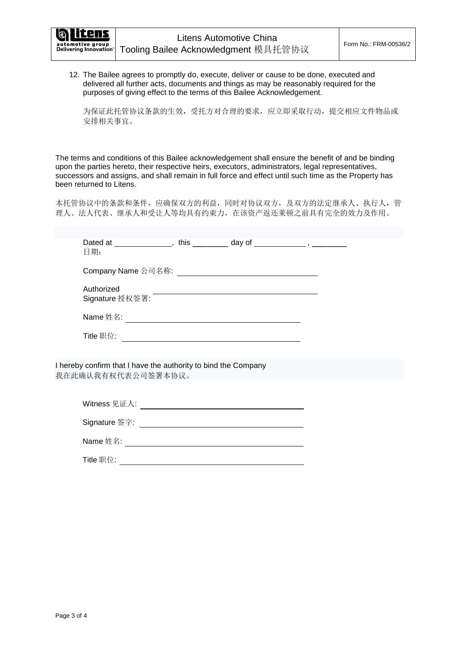12. The Bailee agrees to promptly do, execute, deliver or cause to be done, executed and delivered all further acts, documents and things as may be reasonably required for the purposes of giving effect to the terms of this Bailee Acknowledgement.

为保证此托管协议条款的生效,受托方对合理的要求,应立即采取行动,提交相应文件物品或 安排相关事宜。

The terms and conditions of this Bailee acknowledgement shall ensure the benefit of and be binding upon the parties hereto, their respective heirs, executors, administrators, legal representatives, successors and assigns, and shall remain in full force and effect until such time as the Property has been returned to Litens.

本托管协议中的条款和条件,应确保双方的利益,同时对协议双方,及双方的法定继承人、执行人,管 理人、法人代表、继承人和受让人等均具有约束力,在该资产返还莱顿之前具有完全的效力及作用。

| Dated at _______________, this __________ day of ______________, __________<br>日期:   |  |
|--------------------------------------------------------------------------------------|--|
|                                                                                      |  |
|                                                                                      |  |
|                                                                                      |  |
|                                                                                      |  |
|                                                                                      |  |
| I hereby confirm that I have the authority to bind the Company<br>我在此确认我有权代表公司签署本协议。 |  |
|                                                                                      |  |
|                                                                                      |  |
|                                                                                      |  |
|                                                                                      |  |
| Title 职位:                                                                            |  |